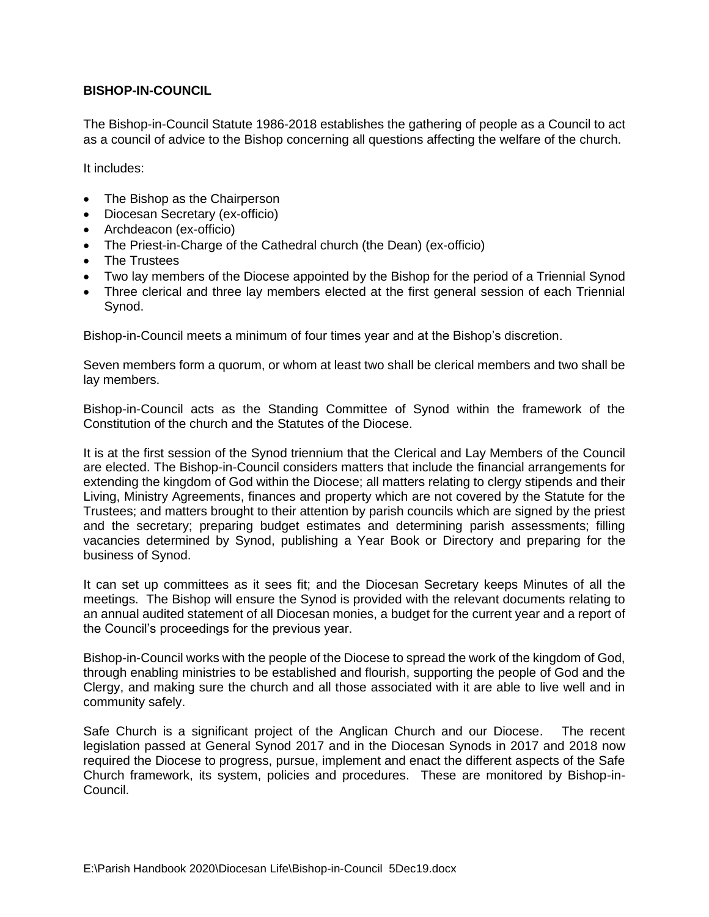## **BISHOP-IN-COUNCIL**

The Bishop-in-Council Statute 1986-2018 establishes the gathering of people as a Council to act as a council of advice to the Bishop concerning all questions affecting the welfare of the church.

It includes:

- The Bishop as the Chairperson
- Diocesan Secretary (ex-officio)
- Archdeacon (ex-officio)
- The Priest-in-Charge of the Cathedral church (the Dean) (ex-officio)
- The Trustees
- Two lay members of the Diocese appointed by the Bishop for the period of a Triennial Synod
- Three clerical and three lay members elected at the first general session of each Triennial Synod.

Bishop-in-Council meets a minimum of four times year and at the Bishop's discretion.

Seven members form a quorum, or whom at least two shall be clerical members and two shall be lay members.

Bishop-in-Council acts as the Standing Committee of Synod within the framework of the Constitution of the church and the Statutes of the Diocese.

It is at the first session of the Synod triennium that the Clerical and Lay Members of the Council are elected. The Bishop-in-Council considers matters that include the financial arrangements for extending the kingdom of God within the Diocese; all matters relating to clergy stipends and their Living, Ministry Agreements, finances and property which are not covered by the Statute for the Trustees; and matters brought to their attention by parish councils which are signed by the priest and the secretary; preparing budget estimates and determining parish assessments; filling vacancies determined by Synod, publishing a Year Book or Directory and preparing for the business of Synod.

It can set up committees as it sees fit; and the Diocesan Secretary keeps Minutes of all the meetings. The Bishop will ensure the Synod is provided with the relevant documents relating to an annual audited statement of all Diocesan monies, a budget for the current year and a report of the Council's proceedings for the previous year.

Bishop-in-Council works with the people of the Diocese to spread the work of the kingdom of God, through enabling ministries to be established and flourish, supporting the people of God and the Clergy, and making sure the church and all those associated with it are able to live well and in community safely.

Safe Church is a significant project of the Anglican Church and our Diocese. The recent legislation passed at General Synod 2017 and in the Diocesan Synods in 2017 and 2018 now required the Diocese to progress, pursue, implement and enact the different aspects of the Safe Church framework, its system, policies and procedures. These are monitored by Bishop-in-Council.